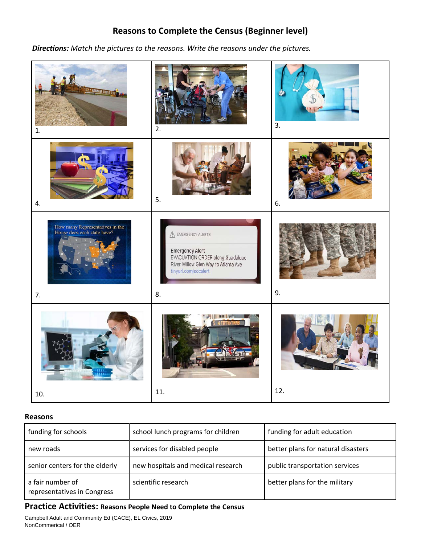# **Reasons to Complete the Census (Beginner level)**

 *Directions: Match the pictures to the reasons. Write the reasons under the pictures.* 



### **Reasons**

| funding for schools                             | school lunch programs for children | funding for adult education        |  |
|-------------------------------------------------|------------------------------------|------------------------------------|--|
| new roads                                       | services for disabled people       | better plans for natural disasters |  |
| senior centers for the elderly                  | new hospitals and medical research | public transportation services     |  |
| a fair number of<br>representatives in Congress | scientific research                | better plans for the military      |  |

## **Practice Activities: Reasons People Need to Complete the Census**

Campbell Adult and Community Ed (CACE), EL Civics, 2019 NonCommerical / OER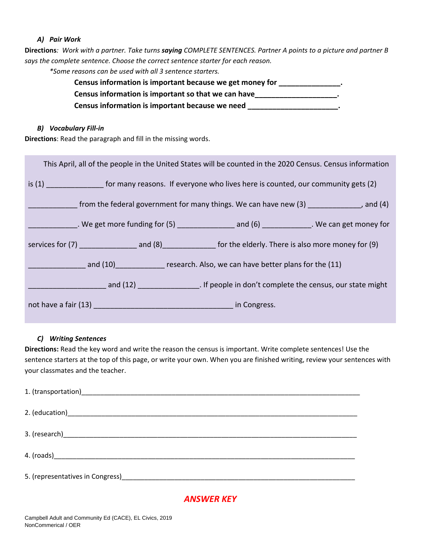### *A) Pair Work*

**Directions***: Work with a partner. Take turns saying COMPLETE SENTENCES. Partner A points to a picture and partner B says the complete sentence. Choose the correct sentence starter for each reason. \*Some reasons can be used with all 3 sentence starters.*

## **Census information is important because we get money for \_\_\_\_\_\_\_\_\_\_\_\_\_\_\_. Census information is important so that we can have\_\_\_\_\_\_\_\_\_\_\_\_\_\_\_\_\_\_\_\_. Census information is important because we need \_\_\_\_\_\_\_\_\_\_\_\_\_\_\_\_\_\_\_\_\_\_.**

### *B) Vocabulary Fill-in*

**Directions**: Read the paragraph and fill in the missing words.

| This April, all of the people in the United States will be counted in the 2020 Census. Census information  |  |                                                                                                                 |  |  |
|------------------------------------------------------------------------------------------------------------|--|-----------------------------------------------------------------------------------------------------------------|--|--|
| is (1) ___________________ for many reasons. If everyone who lives here is counted, our community gets (2) |  |                                                                                                                 |  |  |
| from the federal government for many things. We can have new $(3)$ _____________, and $(4)$                |  |                                                                                                                 |  |  |
|                                                                                                            |  | Lattimated Comparison and Comparison and Comparison and Comparison and Comparison and Comparison and Comparison |  |  |
|                                                                                                            |  |                                                                                                                 |  |  |
| and (10) The research. Also, we can have better plans for the (11)                                         |  |                                                                                                                 |  |  |
|                                                                                                            |  |                                                                                                                 |  |  |
|                                                                                                            |  |                                                                                                                 |  |  |

### *C) Writing Sentences*

**Directions:** Read the key word and write the reason the census is important. Write complete sentences! Use the sentence starters at the top of this page, or write your own. When you are finished writing, review your sentences with your classmates and the teacher.

### *ANSWER KEY*